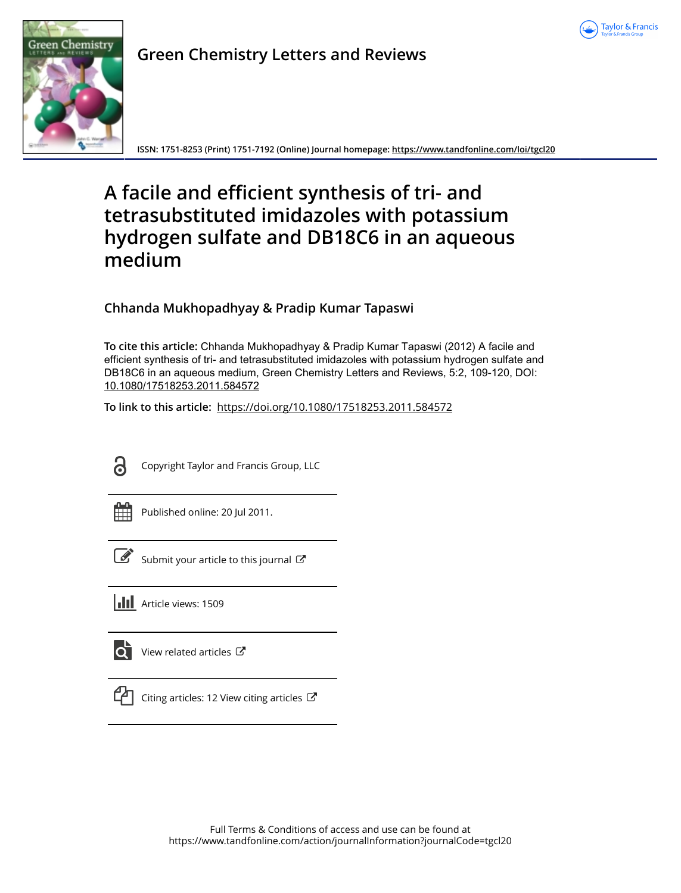



**Green Chemistry Letters and Reviews**

**ISSN: 1751-8253 (Print) 1751-7192 (Online) Journal homepage:<https://www.tandfonline.com/loi/tgcl20>**

# **A facile and efficient synthesis of tri- and tetrasubstituted imidazoles with potassium hydrogen sulfate and DB18C6 in an aqueous medium**

# **Chhanda Mukhopadhyay & Pradip Kumar Tapaswi**

**To cite this article:** Chhanda Mukhopadhyay & Pradip Kumar Tapaswi (2012) A facile and efficient synthesis of tri- and tetrasubstituted imidazoles with potassium hydrogen sulfate and DB18C6 in an aqueous medium, Green Chemistry Letters and Reviews, 5:2, 109-120, DOI: [10.1080/17518253.2011.584572](https://www.tandfonline.com/action/showCitFormats?doi=10.1080/17518253.2011.584572)

**To link to this article:** <https://doi.org/10.1080/17518253.2011.584572>

<u>ය</u>

Copyright Taylor and Francis Group, LLC

Published online: 20 Jul 2011.

[Submit your article to this journal](https://www.tandfonline.com/action/authorSubmission?journalCode=tgcl20&show=instructions)  $\mathbb{Z}$ 

**III** Article views: 1509



 $\overrightarrow{Q}$  [View related articles](https://www.tandfonline.com/doi/mlt/10.1080/17518253.2011.584572)  $\overrightarrow{C}$ 



[Citing articles: 12 View citing articles](https://www.tandfonline.com/doi/citedby/10.1080/17518253.2011.584572#tabModule)  $\mathbb{Z}$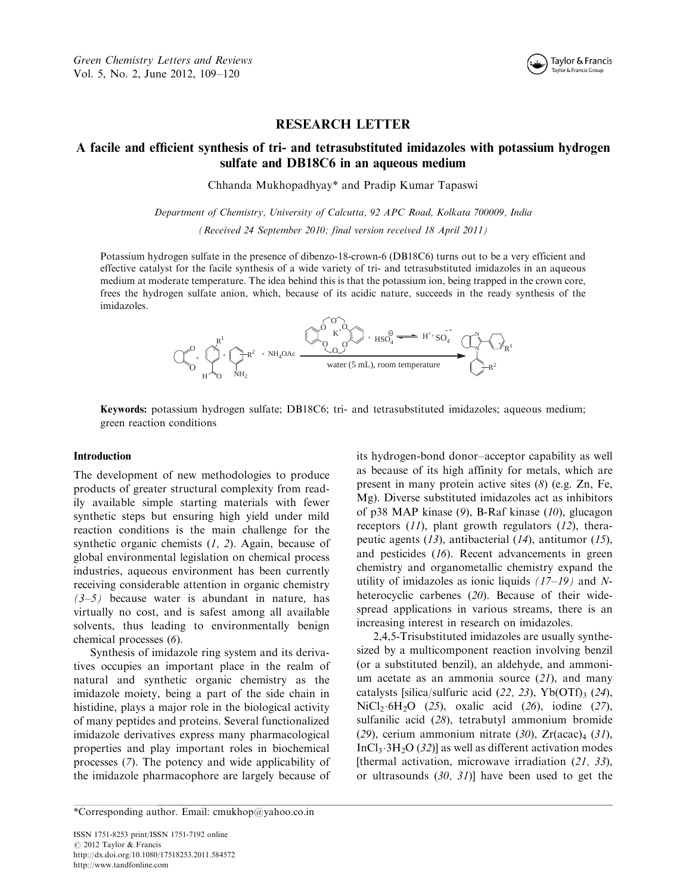

# RESEARCH LETTER

# A facile and efficient synthesis of tri- and tetrasubstituted imidazoles with potassium hydrogen sulfate and DB18C6 in an aqueous medium

Chhanda Mukhopadhyay\* and Pradip Kumar Tapaswi

Department of Chemistry, University of Calcutta, 92 APC Road, Kolkata 700009, India (Received 24 September 2010; final version received 18 April 2011)

Potassium hydrogen sulfate in the presence of dibenzo-18-crown-6(DB18C6) turns out to be a very efficient and effective catalyst for the facile synthesis of a wide variety of tri- and tetrasubstituted imidazoles in an aqueous medium at moderate temperature. The idea behind this is that the potassium ion, being trapped in the crown core, frees the hydrogen sulfate anion, which, because of its acidic nature, succeeds in the ready synthesis of the imidazoles.



Keywords: potassium hydrogen sulfate; DB18C6; tri- and tetrasubstituted imidazoles; aqueous medium; green reaction conditions

#### Introduction

The development of new methodologies to produce products of greater structural complexity from readily available simple starting materials with fewer synthetic steps but ensuring high yield under mild reaction conditions is the main challenge for the synthetic organic chemists  $(1, 2)$ . Again, because of global environmental legislation on chemical process industries, aqueous environment has been currently receiving considerable attention in organic chemistry  $(3-5)$  because water is abundant in nature, has virtually no cost, and is safest among all available solvents, thus leading to environmentally benign chemical processes (6).

Synthesis of imidazole ring system and its derivatives occupies an important place in the realm of natural and synthetic organic chemistry as the imidazole moiety, being a part of the side chain in histidine, plays a major role in the biological activity of many peptides and proteins. Several functionalized imidazole derivatives express many pharmacological properties and play important roles in biochemical processes (7). The potency and wide applicability of the imidazole pharmacophore are largely because of its hydrogen-bond donor-acceptor capability as well as because of its high affinity for metals, which are present in many protein active sites (8) (e.g. Zn, Fe, Mg). Diverse substituted imidazoles act as inhibitors of p38 MAP kinase  $(9)$ , B-Raf kinase  $(10)$ , glucagon receptors (11), plant growth regulators (12), therapeutic agents (13), antibacterial (14), antitumor (15), and pesticides (16). Recent advancements in green chemistry and organometallic chemistry expand the utility of imidazoles as ionic liquids  $(17-19)$  and Nheterocyclic carbenes (20). Because of their widespread applications in various streams, there is an increasing interest in research on imidazoles.

2,4,5-Trisubstituted imidazoles are usually synthesized by a multicomponent reaction involving benzil (or a substituted benzil), an aldehyde, and ammonium acetate as an ammonia source  $(21)$ , and many catalysts [silica/sulfuric acid  $(22, 23)$ , Yb $(OTf)$ <sub>3</sub>  $(24)$ , NiCl<sub>2</sub> 6H<sub>2</sub>O (25), oxalic acid (26), iodine (27), sulfanilic acid (28), tetrabutyl ammonium bromide (29), cerium ammonium nitrate (30),  $Zr(acac)<sub>4</sub>$  (31), InCl<sub>3</sub> $\cdot$ 3H<sub>2</sub>O (32)] as well as different activation modes [thermal activation, microwave irradiation  $(21, 33)$ , or ultrasounds (30, 31)] have been used to get the

\*Corresponding author. Email: cmukhop@yahoo.co.in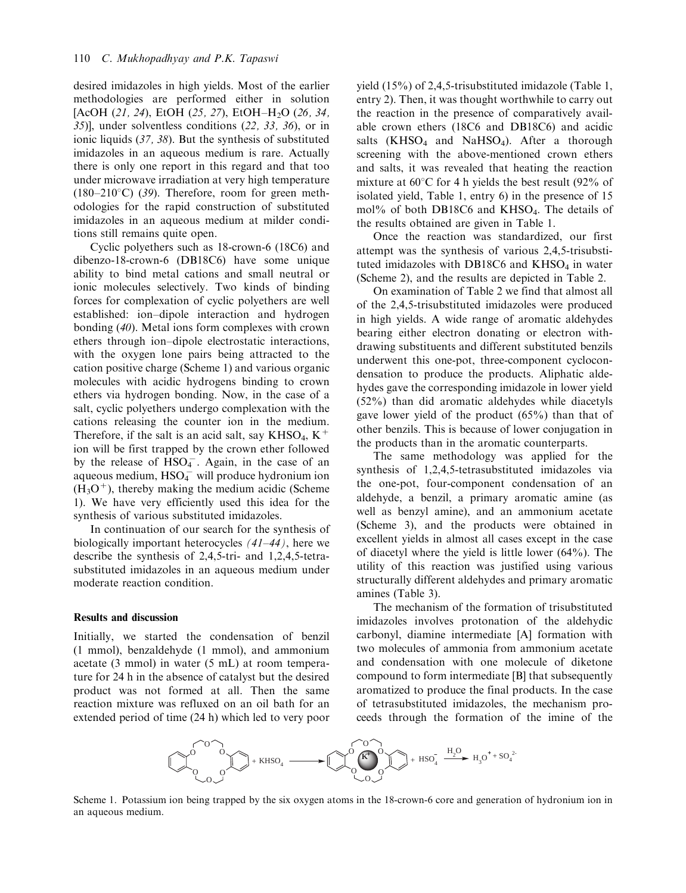desired imidazoles in high yields. Most of the earlier methodologies are performed either in solution [AcOH  $(21, 24)$ , EtOH  $(25, 27)$ , EtOH-H<sub>2</sub>O  $(26, 34)$ , 35)], under solventless conditions (22, 33, 36), or in ionic liquids (37, 38). But the synthesis of substituted imidazoles in an aqueous medium is rare. Actually there is only one report in this regard and that too under microwave irradiation at very high temperature  $(180-210\degree C)$  (39). Therefore, room for green methodologies for the rapid construction of substituted imidazoles in an aqueous medium at milder conditions still remains quite open.

Cyclic polyethers such as 18-crown-6(18C6) and dibenzo-18-crown-6(DB18C6) have some unique ability to bind metal cations and small neutral or ionic molecules selectively. Two kinds of binding forces for complexation of cyclic polyethers are well established: ion-dipole interaction and hydrogen bonding (40). Metal ions form complexes with crown ethers through ion-dipole electrostatic interactions, with the oxygen lone pairs being attracted to the cation positive charge (Scheme 1) and various organic molecules with acidic hydrogens binding to crown ethers via hydrogen bonding. Now, in the case of a salt, cyclic polyethers undergo complexation with the cations releasing the counter ion in the medium. Therefore, if the salt is an acid salt, say  $KHSO_4$ ,  $K^+$ ion will be first trapped by the crown ether followed by the release of  $HSO<sub>4</sub>$ . Again, in the case of an  $a$ queous medium,  $HSO_4^-$  will produce hydronium ion  $(\hat{H}_3O^+)$ , thereby making the medium acidic (Scheme 1). We have very efficiently used this idea for the synthesis of various substituted imidazoles.

In continuation of our search for the synthesis of biologically important heterocycles  $(41-44)$ , here we describe the synthesis of 2,4,5-tri- and 1,2,4,5-tetrasubstituted imidazoles in an aqueous medium under moderate reaction condition.

#### Results and discussion

Initially, we started the condensation of benzil (1 mmol), benzaldehyde (1 mmol), and ammonium acetate (3 mmol) in water (5 mL) at room temperature for 24 h in the absence of catalyst but the desired product was not formed at all. Then the same reaction mixture was refluxed on an oil bath for an extended period of time (24 h) which led to very poor

yield (15%) of 2,4,5-trisubstituted imidazole (Table 1, entry 2). Then, it was thought worthwhile to carry out the reaction in the presence of comparatively available crown ethers (18C6 and DB18C6) and acidic salts  $(KHSO<sub>4</sub>$  and NaHSO<sub>4</sub>). After a thorough screening with the above-mentioned crown ethers and salts, it was revealed that heating the reaction mixture at  $60^{\circ}$ C for 4 h yields the best result (92% of isolated yield, Table 1, entry 6) in the presence of 15 mol% of both DB18C6 and KHSO<sub>4</sub>. The details of the results obtained are given in Table 1.

Once the reaction was standardized, our first attempt was the synthesis of various 2,4,5-trisubstituted imidazoles with DB18C6 and  $KHSO<sub>4</sub>$  in water (Scheme 2), and the results are depicted in Table 2.

On examination of Table 2 we find that almost all of the 2,4,5-trisubstituted imidazoles were produced in high yields. A wide range of aromatic aldehydes bearing either electron donating or electron withdrawing substituents and different substituted benzils underwent this one-pot, three-component cyclocondensation to produce the products. Aliphatic aldehydes gave the corresponding imidazole in lower yield (52%) than did aromatic aldehydes while diacetyls gave lower yield of the product (65%) than that of other benzils. This is because of lower conjugation in the products than in the aromatic counterparts.

The same methodology was applied for the synthesis of 1,2,4,5-tetrasubstituted imidazoles via the one-pot, four-component condensation of an aldehyde, a benzil, a primary aromatic amine (as well as benzyl amine), and an ammonium acetate (Scheme 3), and the products were obtained in excellent yields in almost all cases except in the case of diacetyl where the yield is little lower (64%). The utility of this reaction was justified using various structurally different aldehydes and primary aromatic amines (Table 3).

The mechanism of the formation of trisubstituted imidazoles involves protonation of the aldehydic carbonyl, diamine intermediate [A] formation with two molecules of ammonia from ammonium acetate and condensation with one molecule of diketone compound to form intermediate [B] that subsequently aromatized to produce the final products. In the case of tetrasubstituted imidazoles, the mechanism proceeds through the formation of the imine of the



Scheme 1. Potassium ion being trapped by the six oxygen atoms in the 18-crown-6 core and generation of hydronium ion in an aqueous medium.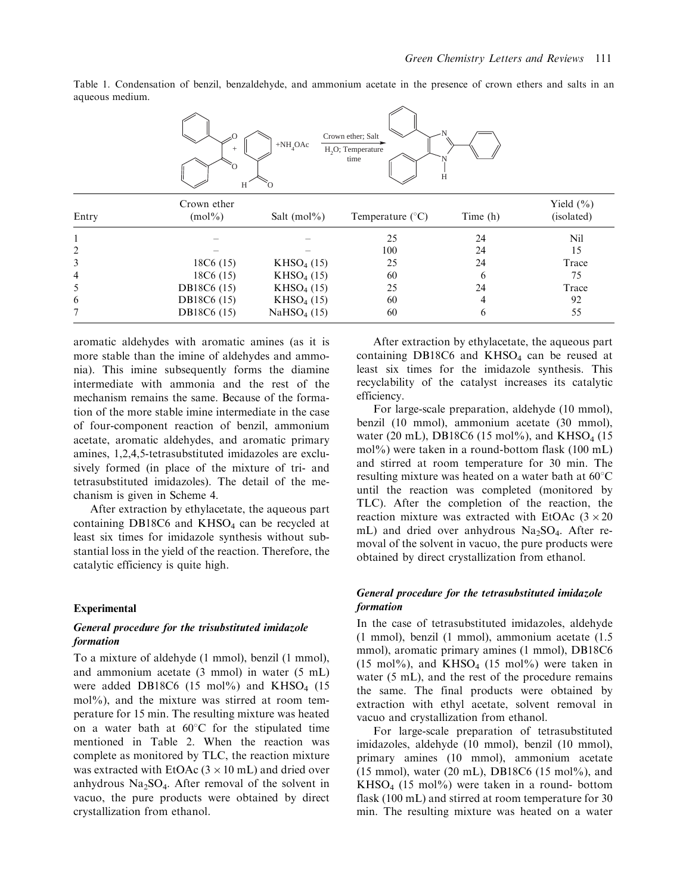Table 1. Condensation of benzil, benzaldehyde, and ammonium acetate in the presence of crown ethers and salts in an aqueous medium.



| Entry | Crown ether<br>$(mol\%)$ | Salt $(mol\%)$         | Temperature $(^{\circ}C)$ | Time (h) | Yield $(\% )$<br>(isolated) |
|-------|--------------------------|------------------------|---------------------------|----------|-----------------------------|
|       |                          |                        | 25                        | 24       | Nil                         |
|       |                          |                        | 100                       | 24       | 15                          |
|       | 18C6(15)                 | KHSO <sub>4</sub> (15) | 25                        | 24       | Trace                       |
| 4     | 18C6(15)                 | KHSO <sub>4</sub> (15) | 60                        | 6        | 75                          |
|       | <b>DB18C6</b> (15)       | KHSO <sub>4</sub> (15) | 25                        | 24       | Trace                       |
| 6     | <b>DB18C6</b> (15)       | KHSO <sub>4</sub> (15) | 60                        | 4        | 92                          |
|       | <b>DB18C6</b> (15)       | $NaHSO4$ (15)          | 60                        | 6        | 55                          |

aromatic aldehydes with aromatic amines (as it is more stable than the imine of aldehydes and ammonia). This imine subsequently forms the diamine intermediate with ammonia and the rest of the mechanism remains the same. Because of the formation of the more stable imine intermediate in the case of four-component reaction of benzil, ammonium acetate, aromatic aldehydes, and aromatic primary amines, 1,2,4,5-tetrasubstituted imidazoles are exclusively formed (in place of the mixture of tri- and tetrasubstituted imidazoles). The detail of the mechanism is given in Scheme 4.

After extraction by ethylacetate, the aqueous part containing DB18C6 and  $KHSO<sub>4</sub>$  can be recycled at least six times for imidazole synthesis without substantial loss in the yield of the reaction. Therefore, the catalytic efficiency is quite high.

#### Experimental

#### General procedure for the trisubstituted imidazole formation

To a mixture of aldehyde (1 mmol), benzil (1 mmol), and ammonium acetate (3 mmol) in water (5 mL) were added DB18C6 (15 mol%) and  $KHSO<sub>4</sub>$  (15 mol%), and the mixture was stirred at room temperature for 15 min. The resulting mixture was heated on a water bath at  $60^{\circ}$ C for the stipulated time mentioned in Table 2. When the reaction was complete as monitored by TLC, the reaction mixture was extracted with EtOAc  $(3 \times 10 \text{ mL})$  and dried over anhydrous  $Na<sub>2</sub>SO<sub>4</sub>$ . After removal of the solvent in vacuo, the pure products were obtained by direct crystallization from ethanol.

After extraction by ethylacetate, the aqueous part containing DB18C6 and KHSO<sub>4</sub> can be reused at least six times for the imidazole synthesis. This recyclability of the catalyst increases its catalytic efficiency.

For large-scale preparation, aldehyde (10 mmol), benzil (10 mmol), ammonium acetate (30 mmol), water (20 mL), DB18C6 (15 mol%), and KHSO<sub>4</sub> (15 mol%) were taken in a round-bottom flask (100 mL) and stirred at room temperature for 30 min. The resulting mixture was heated on a water bath at  $60^{\circ}$ C until the reaction was completed (monitored by TLC). After the completion of the reaction, the reaction mixture was extracted with EtOAc  $(3 \times 20)$ mL) and dried over anhydrous  $Na<sub>2</sub>SO<sub>4</sub>$ . After removal of the solvent in vacuo, the pure products were obtained by direct crystallization from ethanol.

# General procedure for the tetrasubstituted imidazole formation

In the case of tetrasubstituted imidazoles, aldehyde (1 mmol), benzil (1 mmol), ammonium acetate (1.5 mmol), aromatic primary amines (1 mmol), DB18C6 (15 mol%), and KHSO<sub>4</sub> (15 mol%) were taken in water (5 mL), and the rest of the procedure remains the same. The final products were obtained by extraction with ethyl acetate, solvent removal in vacuo and crystallization from ethanol.

For large-scale preparation of tetrasubstituted imidazoles, aldehyde (10 mmol), benzil (10 mmol), primary amines (10 mmol), ammonium acetate (15 mmol), water (20 mL), DB18C6(15 mol%), and  $KHSO<sub>4</sub>$  (15 mol%) were taken in a round- bottom flask (100 mL) and stirred at room temperature for 30 min. The resulting mixture was heated on a water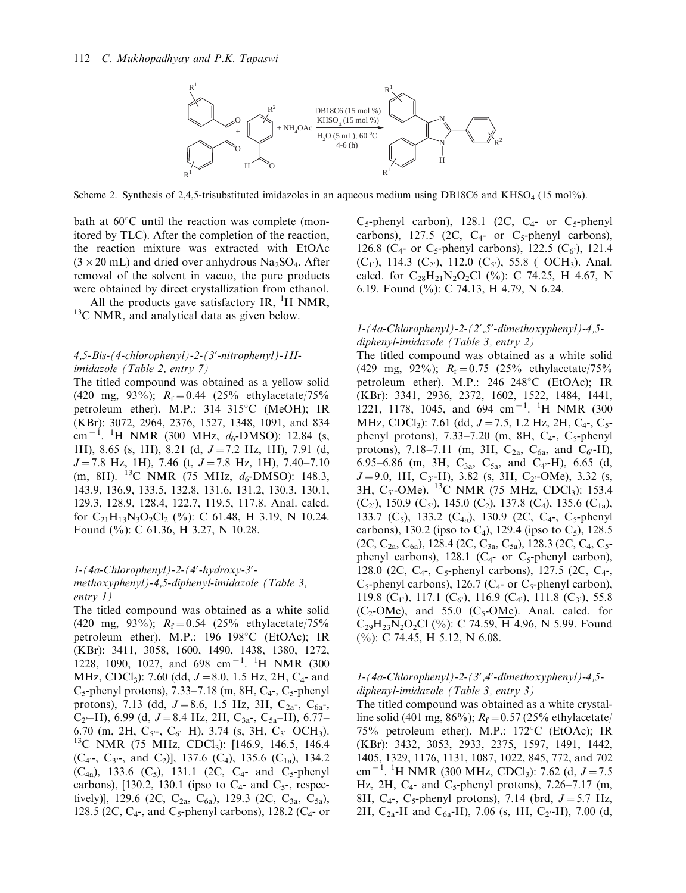

Scheme 2. Synthesis of 2,4,5-trisubstituted imidazoles in an aqueous medium using DB18C6 and KHSO<sub>4</sub> (15 mol%).

bath at  $60^{\circ}$ C until the reaction was complete (monitored by TLC). After the completion of the reaction, the reaction mixture was extracted with EtOAc  $(3 \times 20 \text{ mL})$  and dried over anhydrous Na<sub>2</sub>SO<sub>4</sub>. After removal of the solvent in vacuo, the pure products were obtained by direct crystallization from ethanol.

All the products gave satisfactory IR,  ${}^{1}H$  NMR,  $13^{\circ}$ C NMR, and analytical data as given below.

#### 4,5-Bis-(4-chlorophenyl)-2-(3?-nitrophenyl)-1Himidazole (Table 2, entry 7)

The titled compound was obtained as a yellow solid (420 mg, 93%);  $R_f = 0.44$  (25% ethylacetate/75% petroleum ether). M.P.:  $314-315^{\circ}$ C (MeOH); IR (KBr): 3072, 2964, 2376, 1527, 1348, 1091, and 834 cm<sup>-1</sup>. <sup>1</sup>H NMR (300 MHz,  $d_6$ -DMSO): 12.84 (s, 1H), 8.65 (s, 1H), 8.21 (d,  $J=7.2$  Hz, 1H), 7.91 (d,  $J=7.8$  Hz, 1H), 7.46 (t,  $J=7.8$  Hz, 1H), 7.40-7.10 (m, 8H).  $^{13}$ C NMR (75 MHz,  $d_6$ -DMSO): 148.3, 143.9, 136.9, 133.5, 132.8, 131.6, 131.2, 130.3, 130.1, 129.3, 128.9, 128.4, 122.7, 119.5, 117.8. Anal. calcd. for  $C_{21}H_{13}N_3O_2Cl_2$  (%): C 61.48, H 3.19, N 10.24. Found (%): C 61.36, H 3.27, N 10.28.

#### $1-(4a-Chlorophenyl)-2-(4'-hydroxy-3'$ methoxyphenyl)-4,5-diphenyl-imidazole (Table 3, entry 1)

The titled compound was obtained as a white solid (420 mg, 93%);  $R_f = 0.54$  (25% ethylacetate/75%) petroleum ether). M.P.:  $196-198^{\circ}C$  (EtOAc); IR (KBr): 3411, 3058, 1600, 1490, 1438, 1380, 1272, 1228, 1090, 1027, and 698 cm<sup>-1</sup>. <sup>1</sup>H NMR (300 MHz, CDCl<sub>3</sub>): 7.60 (dd,  $J = 8.0$ , 1.5 Hz, 2H, C<sub>4</sub>- and  $C_5$ -phenyl protons), 7.33–7.18 (m, 8H,  $C_4$ -,  $C_5$ -phenyl protons), 7.13 (dd,  $J=8.6$ , 1.5 Hz, 3H, C<sub>2a</sub>-, C<sub>6a</sub>-, C<sub>2</sub> $-H$ ), 6.99 (d, J = 8.4 Hz, 2H, C<sub>3a</sub>-, C<sub>5a</sub>-H), 6.77-6.70 (m, 2H, C<sub>5</sub> $\text{-}$ , C<sub>6</sub> $\text{-}$ H), 3.74 (s, 3H, C<sub>3</sub> $\text{-}$ OCH<sub>3</sub>). <sup>13</sup>C NMR (75 MHz, CDCl<sub>3</sub>): [146.9, 146.5, 146.4]  $(C_{4}$ ,  $C_{3}$ , and  $C_{2}$ ], 137.6  $(C_{4}$ , 135.6  $(C_{1a})$ , 134.2  $(C_{4a})$ , 133.6  $(C_5)$ , 131.1 (2C,  $C_4$ - and  $C_5$ -phenyl carbons), [130.2, 130.1 (ipso to  $C_4$ - and  $C_5$ -, respectively)], 129.6 (2C, C<sub>2a</sub>, C<sub>6a</sub>), 129.3 (2C, C<sub>3a</sub>, C<sub>5a</sub>), 128.5 (2C,  $C_4$ -, and  $C_5$ -phenyl carbons), 128.2 ( $C_4$ - or  $C_5$ -phenyl carbon), 128.1 (2C,  $C_4$ - or  $C_5$ -phenyl carbons), 127.5 (2C,  $C_{4}$ - or  $C_{5}$ -phenyl carbons), 126.8 ( $C_4$ - or  $C_5$ -phenyl carbons), 122.5 ( $C_6$ ), 121.4  $(C_1)$ , 114.3  $(C_2)$ , 112.0  $(C_5)$ , 55.8 (-OCH<sub>3</sub>). Anal. calcd. for  $C_{28}H_{21}N_2O_2Cl$  (%): C 74.25, H 4.67, N 6.19. Found (%): C 74.13, H 4.79, N 6.24.

#### $1-(4a-Chlorophenyl)-2-(2',5'-dimethoxyphenyl)-4,5$ diphenyl-imidazole (Table 3, entry 2)

The titled compound was obtained as a white solid (429 mg, 92%);  $R_f = 0.75$  (25% ethylacetate/75%) petroleum ether). M.P.:  $246-248^{\circ}$ C (EtOAc); IR (KBr): 3341, 2936, 2372, 1602, 1522, 1484, 1441, 1221, 1178, 1045, and 694 cm<sup>-1</sup>. <sup>1</sup>H NMR (300 MHz, CDCl<sub>3</sub>): 7.61 (dd,  $J=7.5$ , 1.2 Hz, 2H, C<sub>4</sub>-, C<sub>5</sub>phenyl protons),  $7.33-7.20$  (m, 8H,  $C_4$ -,  $C_5$ -phenyl protons), 7.18-7.11 (m, 3H,  $C_{2a}$ ,  $C_{6a}$ , and  $C_{6}$ -H), 6.95–6.86 (m, 3H,  $C_{3a}$ ,  $C_{5a}$ , and  $C_{4}$ -H), 6.65 (d,  $J=9.0, 1H, C<sub>3</sub>$ -H), 3.82 (s, 3H, C<sub>2</sub><sup>-</sup>OMe), 3.32 (s, 3H, C<sub>5</sub>-OMe). <sup>13</sup>C NMR (75 MHz, CDCl<sub>3</sub>): 153.4  $(C_2)$ , 150.9  $(C_5)$ , 145.0  $(C_2)$ , 137.8  $(C_4)$ , 135.6  $(C_{1a})$ , 133.7 (C<sub>5</sub>), 133.2 (C<sub>4a</sub>), 130.9 (2C, C<sub>4</sub>-, C<sub>5</sub>-phenyl carbons), 130.2 (ipso to  $C_4$ ), 129.4 (ipso to  $C_5$ ), 128.5  $(2C, C_{2a}, C_{6a})$ , 128.4 (2C,  $C_{3a}, C_{5a}$ ), 128.3 (2C,  $C_4, C_5$ phenyl carbons), 128.1 ( $C_4$ - or  $C_5$ -phenyl carbon), 128.0 (2C,  $C_4$ -,  $C_5$ -phenyl carbons), 127.5 (2C,  $C_4$ -,  $C_5$ -phenyl carbons), 126.7 ( $C_4$ - or  $C_5$ -phenyl carbon), 119.8 (C<sub>1</sub><sup>'</sup>), 117.1 (C<sub>6</sub><sup>'</sup>), 116.9 (C<sub>4</sub><sup>'</sup>), 111.8 (C<sub>3</sub><sup>'</sup>), 55.8  $(C_2$ -OMe), and 55.0  $(C_5$ -OMe). Anal. calcd. for  $C_{29}H_{23}N_2O_2Cl$  (%): C 74.59, H 4.96, N 5.99. Found (%): C 74.45, H 5.12, N 6.08.

#### 1-(4a-Chlorophenyl)-2-(3?,4?-dimethoxyphenyl)-4,5 diphenyl-imidazole (Table 3, entry 3)

The titled compound was obtained as a white crystalline solid (401 mg, 86%);  $R_f = 0.57$  (25% ethylacetate/ 75% petroleum ether). M.P.:  $172^{\circ}$ C (EtOAc); IR (KBr): 3432, 3053, 2933, 2375, 1597, 1491, 1442, 1405, 1329, 1176, 1131, 1087, 1022, 845, 772, and 702 cm<sup>-1</sup>. <sup>1</sup>H NMR (300 MHz, CDCl<sub>3</sub>): 7.62 (d,  $J = 7.5$ Hz, 2H,  $C_4$ - and  $C_5$ -phenyl protons), 7.26–7.17 (m, 8H, C<sub>4</sub>-, C<sub>5</sub>-phenyl protons), 7.14 (brd,  $J=5.7$  Hz, 2H,  $C_{2a}$ -H and  $C_{6a}$ -H), 7.06 (s, 1H,  $C_{2}$ -H), 7.00 (d,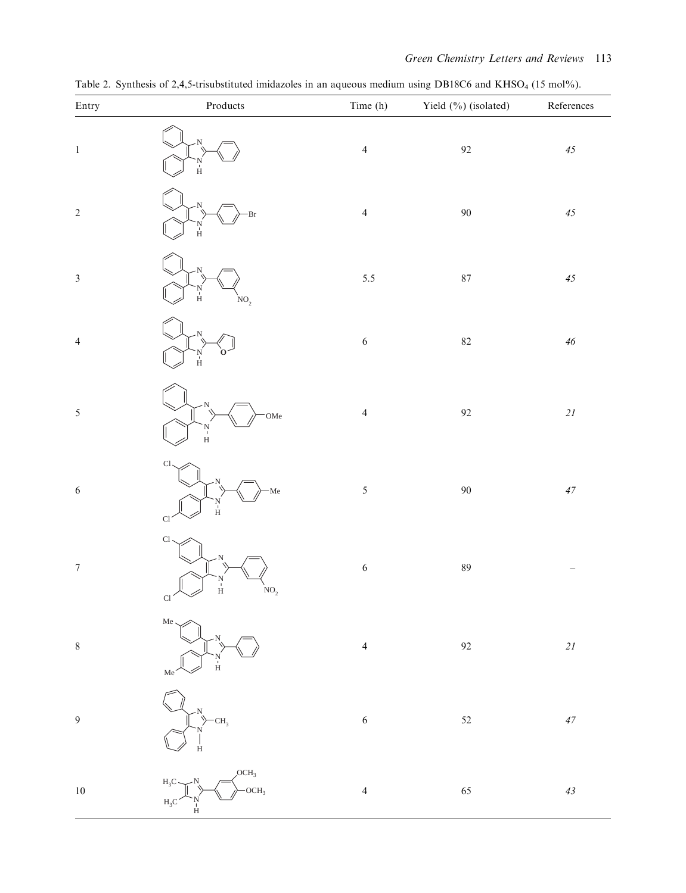| Entry                    | $\mathop{\text{\rm Products}}$                                                | Time (h)       | Yield (%) (isolated) | $- - - - - -$<br>${\bf References}$ |
|--------------------------|-------------------------------------------------------------------------------|----------------|----------------------|-------------------------------------|
| $\mathbf{1}$             | $\frac{N}{H}$                                                                 | $\overline{4}$ | $92\,$               | $45\,$                              |
| $\overline{c}$           | Br<br>N<br>H                                                                  | $\overline{4}$ | $90\,$               | $45\,$                              |
| $\overline{\mathbf{3}}$  | N<br>H<br>NO <sub>2</sub>                                                     | 5.5            | $87\,$               | $45\,$                              |
| $\overline{\mathcal{L}}$ | 'N<br>H                                                                       | $\sqrt{6}$     | $82\,$               | $\sqrt{46}$                         |
| 5                        | OMe<br>$\frac{N}{H}$                                                          | $\overline{4}$ | $92\,$               | $2\sqrt{l}$                         |
| 6                        | $\overline{\text{Cl}}$<br>Me<br>N<br>H<br>Cl                                  | $\mathfrak{s}$ | $90\,$               | $47\,$                              |
| $\overline{7}$           | $\mathop{\rm Cl}\nolimits$<br>N<br>H<br>$\mathrm{NO}_2$<br>$Cl \sim$          | $\sqrt{6}$     | $\bf 89$             |                                     |
| 8                        | Me<br>$\frac{N}{H}$<br>Me                                                     | $\overline{4}$ | 92                   | $2\sqrt{l}$                         |
| 9                        | CH <sub>3</sub><br>Ĥ                                                          | $\sqrt{6}$     | $52\,$               | $47\,$                              |
| $10\,$                   | OCH <sub>3</sub><br>$\rm H_3C$<br>OCH <sub>3</sub><br>$H_3C$<br>$\frac{N}{H}$ | $\overline{4}$ | 65                   | $4\sqrt{3}$                         |

Table 2. Synthesis of 2,4,5-trisubstituted imidazoles in an aqueous medium using DB18C6 and KHSO<sub>4</sub> (15 mol%).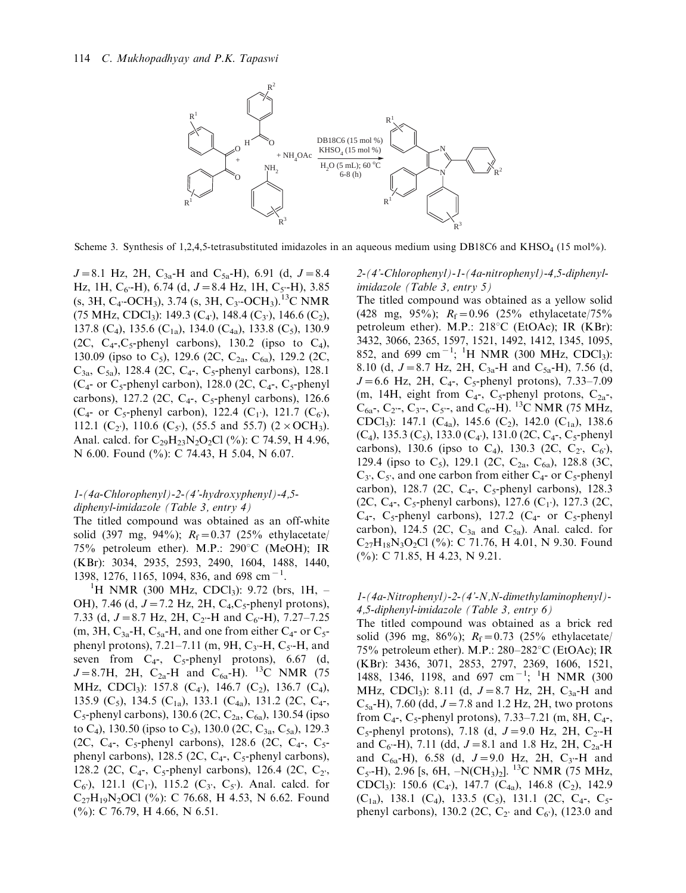

Scheme 3. Synthesis of 1,2,4,5-tetrasubstituted imidazoles in an aqueous medium using DB18C6 and KHSO<sub>4</sub> (15 mol%).

 $J=8.1$  Hz, 2H, C<sub>3a</sub>-H and C<sub>5a</sub>-H), 6.91 (d,  $J=8.4$ Hz, 1H,  $C_{6}$ -H), 6.74 (d,  $J=8.4$  Hz, 1H,  $C_{5}$ -H), 3.85  $(s, 3H, C_4$ <sup>-</sup>OCH<sub>3</sub>), 3.74  $(s, 3H, C_3$ <sup>-</sup>OCH<sub>3</sub>).<sup>13</sup>C NMR (75 MHz, CDCl<sub>3</sub>): 149.3 (C<sub>4</sub><sup>2</sup>), 148.4 (C<sub>3</sub><sup>2</sup>), 146.6 (C<sub>2</sub>), 137.8 (C<sub>4</sub>), 135.6 (C<sub>1a</sub>), 134.0 (C<sub>4a</sub>), 133.8 (C<sub>5</sub>), 130.9 (2C,  $C_4$ -, $C_5$ -phenyl carbons), 130.2 (ipso to  $C_4$ ), 130.09 (ipso to C<sub>5</sub>), 129.6 (2C, C<sub>2a</sub>, C<sub>6a</sub>), 129.2 (2C,  $C_{3a}$ ,  $C_{5a}$ ), 128.4 (2C,  $C_{4}$ -,  $C_{5}$ -phenyl carbons), 128.1  $(C_4$ - or  $C_5$ -phenyl carbon), 128.0 (2C,  $C_4$ -,  $C_5$ -phenyl carbons), 127.2 (2C,  $C_4$ -,  $C_5$ -phenyl carbons), 126.6 (C<sub>4</sub>- or C<sub>5</sub>-phenyl carbon), 122.4 (C<sub>1</sub>), 121.7 (C<sub>6</sub>), 112.1 (C<sub>2</sub><sup>'</sup>), 110.6 (C<sub>5</sub><sup>'</sup>), (55.5 and 55.7) (2 × OCH<sub>3</sub>). Anal. calcd. for  $C_{29}H_{23}N_{2}O_{2}Cl$  (%): C 74.59, H 4.96, N 6.00. Found (%): C 74.43, H 5.04, N 6.07.

#### 1-(4a-Chlorophenyl)-2-(4'-hydroxyphenyl)-4,5 diphenyl-imidazole (Table 3, entry 4)

The titled compound was obtained as an off-white solid (397 mg, 94%);  $R_f = 0.37$  (25% ethylacetate/ 75% petroleum ether). M.P.:  $290^{\circ}$ C (MeOH); IR (KBr): 3034, 2935, 2593, 2490, 1604, 1488, 1440, 1398, 1276, 1165, 1094, 836, and 698 cm<sup>-1</sup>.<br><sup>1</sup>H NMP (300 MHz, CDCL): 0.72 (bp

<sup>1</sup>H NMR (300 MHz, CDCl<sub>3</sub>): 9.72 (brs, 1H,  $-$ OH), 7.46 (d,  $J = 7.2$  Hz, 2H, C<sub>4</sub>,C<sub>5</sub>-phenyl protons), 7.33 (d,  $J=8.7$  Hz, 2H, C<sub>2</sub>-H and C<sub>6</sub> $-H$ ), 7.27-7.25 (m, 3H,  $C_{3a}$ -H,  $C_{5a}$ -H, and one from either  $C_{4}$ - or  $C_{5}$ phenyl protons), 7.21–7.11 (m, 9H, C<sub>3</sub>-H, C<sub>5</sub>-H, and seven from  $C_4$ -,  $C_5$ -phenyl protons), 6.67 (d,  $J=8.7H$ , 2H, C<sub>2a</sub>-H and C<sub>6a</sub>-H). <sup>13</sup>C NMR (75 MHz, CDCl<sub>3</sub>): 157.8 (C<sub>4</sub>), 146.7 (C<sub>2</sub>), 136.7 (C<sub>4</sub>), 135.9 (C<sub>5</sub>), 134.5 (C<sub>1a</sub>), 133.1 (C<sub>4a</sub>), 131.2 (2C, C<sub>4</sub>-,  $C_5$ -phenyl carbons), 130.6 (2C,  $C_{2a}$ ,  $C_{6a}$ ), 130.54 (ipso to C<sub>4</sub>), 130.50 (ipso to C<sub>5</sub>), 130.0 (2C, C<sub>3a</sub>, C<sub>5a</sub>), 129.3 (2C, C<sub>4</sub>-, C<sub>5</sub>-phenyl carbons), 128.6 (2C, C<sub>4</sub>-, C<sub>5</sub>phenyl carbons), 128.5 (2C,  $C_4$ -,  $C_5$ -phenyl carbons), 128.2 (2C,  $C_4$ -,  $C_5$ -phenyl carbons), 126.4 (2C,  $C_2$ ),  $(C_6)$ , 121.1  $(C_1)$ , 115.2  $(C_3, C_5)$ . Anal. calcd. for  $C_{27}H_{19}N_2$ OCl (%): C 76.68, H 4.53, N 6.62. Found (%): C 76.79, H 4.66, N 6.51.

2-(4'-Chlorophenyl)-1-(4a-nitrophenyl)-4,5-diphenylimidazole (Table 3, entry 5)

The titled compound was obtained as a yellow solid (428 mg, 95%);  $R_f = 0.96$  (25% ethylacetate/75% petroleum ether). M.P.:  $218^{\circ}C$  (EtOAc); IR (KBr): 3432, 3066, 2365, 1597, 1521, 1492, 1412, 1345, 1095, 852, and 699 cm<sup>-1</sup>; <sup>1</sup>H NMR (300 MHz, CDCl<sub>3</sub>): 8.10 (d,  $J=8.7$  Hz, 2H, C<sub>3a</sub>-H and C<sub>5a</sub>-H), 7.56 (d,  $J=6.6$  Hz, 2H, C<sub>4</sub>-, C<sub>5</sub>-phenyl protons), 7.33-7.09 (m, 14H, eight from  $C_{4}$ -,  $C_{5}$ -phenyl protons,  $C_{2a}$ -,  $C_{6a}$ ,  $C_{2}$ ,  $C_{3}$ ,  $C_{5}$ , and  $C_{6}$ . H). <sup>13</sup>C NMR (75 MHz, CDCl<sub>3</sub>): 147.1 (C<sub>4a</sub>), 145.6 (C<sub>2</sub>), 142.0 (C<sub>1a</sub>), 138.6  $(C_4)$ , 135.3  $(C_5)$ , 133.0  $(C_4)$ , 131.0 (2C,  $C_4$ -,  $C_5$ -phenyl carbons), 130.6 (ipso to C<sub>4</sub>), 130.3 (2C, C<sub>2</sub>, C<sub>6</sub>), 129.4 (ipso to C<sub>5</sub>), 129.1 (2C, C<sub>2a</sub>, C<sub>6a</sub>), 128.8 (3C,  $C_3$ ,  $C_5$ , and one carbon from either  $C_4$ - or  $C_5$ -phenyl carbon), 128.7 (2C,  $C_4$ -,  $C_5$ -phenyl carbons), 128.3 (2C, C<sub>4</sub>-, C<sub>5</sub>-phenyl carbons), 127.6 (C<sub>1</sub>), 127.3 (2C,  $C_4$ -,  $C_5$ -phenyl carbons), 127.2 ( $C_4$ - or  $C_5$ -phenyl carbon), 124.5 (2C,  $C_{3a}$  and  $C_{5a}$ ). Anal. calcd. for  $C_{27}H_{18}N_3O_2Cl$  (%): C 71.76, H 4.01, N 9.30. Found (%): C 71.85, H 4.23, N 9.21.

## 1-(4a-Nitrophenyl)-2-(4'-N,N-dimethylaminophenyl)- 4,5-diphenyl-imidazole (Table 3, entry 6)

The titled compound was obtained as a brick red solid (396 mg, 86%);  $R_f = 0.73$  (25% ethylacetate/ 75% petroleum ether). M.P.:  $280-282^{\circ}$ C (EtOAc); IR (KBr): 3436, 3071, 2853, 2797, 2369, 1606, 1521, 1488, 1346, 1198, and 697 cm<sup>-1</sup>; <sup>1</sup>H NMR (300 MHz, CDCl<sub>3</sub>): 8.11 (d,  $J=8.7$  Hz, 2H, C<sub>3a</sub>-H and  $C_{5a}$ -H), 7.60 (dd,  $J=7.8$  and 1.2 Hz, 2H, two protons from  $C_4$ -,  $C_5$ -phenyl protons), 7.33–7.21 (m, 8H,  $C_4$ -, C<sub>5</sub>-phenyl protons), 7.18 (d,  $J=9.0$  Hz, 2H, C<sub>2</sub>-H and  $C_6$ -H), 7.11 (dd,  $J=8.1$  and 1.8 Hz, 2H,  $C_{2a}$ -H and  $C_{6a}$ -H), 6.58 (d,  $J=9.0$  Hz, 2H,  $C_{3}$ -H and  $C_5$ -H), 2.96 [s, 6H,  $-N(CH_3)_2$ ]. <sup>13</sup>C NMR (75 MHz, CDCl<sub>3</sub>): 150.6 (C<sub>4</sub><sup>'</sup>), 147.7 (C<sub>4a</sub>), 146.8 (C<sub>2</sub>), 142.9  $(C_{1a})$ , 138.1  $(C_4)$ , 133.5  $(C_5)$ , 131.1 (2C,  $C_4$ -,  $C_5$ phenyl carbons), 130.2 (2C,  $C_2$  and  $C_6$ ), (123.0 and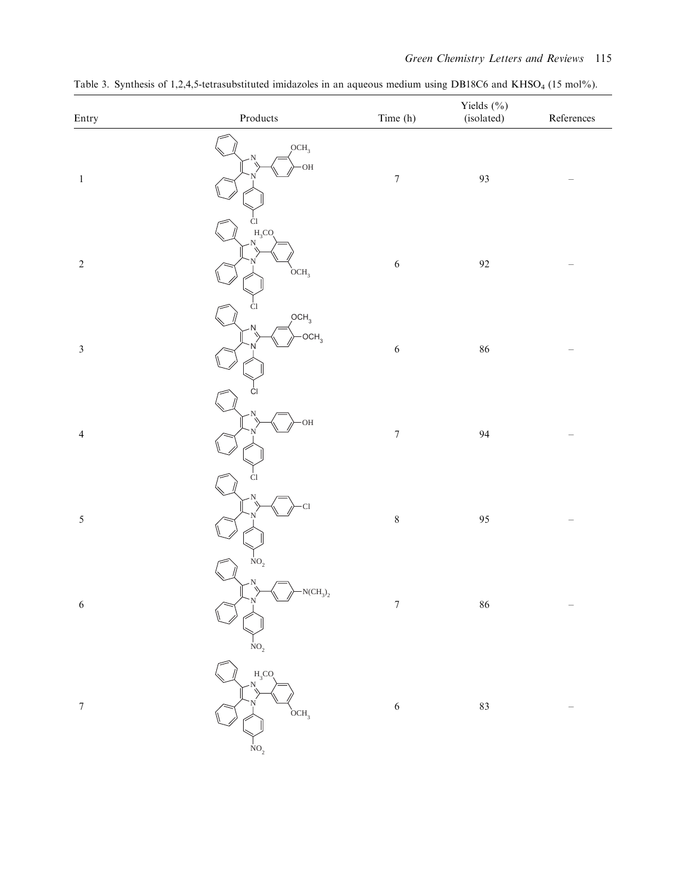| Entry                       | $\mathop{\text{\rm Products}}$                                                                                                               | Time (h)         | Yields $(\% )$<br>(isolated) | ${\bf References}$ |
|-----------------------------|----------------------------------------------------------------------------------------------------------------------------------------------|------------------|------------------------------|--------------------|
| $\mathbf{1}$                | OCH <sub>3</sub><br>·OH                                                                                                                      | $\boldsymbol{7}$ | 93                           |                    |
| $\sqrt{2}$                  | Ċl<br>$H_3CO$<br>N<br>OCH <sub>3</sub>                                                                                                       | $\sqrt{6}$       | $\mathbf{92}$                |                    |
| $\ensuremath{\mathfrak{Z}}$ | Cl<br>OCH <sub>3</sub><br>N<br>OCH <sub>3</sub>                                                                                              | $\sqrt{6}$       | $86\,$                       |                    |
| $\overline{4}$              | CI<br><b>OH</b>                                                                                                                              | $\boldsymbol{7}$ | $\ensuremath{94}$            |                    |
| $\sqrt{5}$                  | Ċ1<br>$\overline{\text{Cl}}$                                                                                                                 | $\,8\,$          | 95                           |                    |
| $\sqrt{6}$                  | NO <sub>2</sub><br>$-N(CH_3)_2$<br>Ņ<br>$\sim$                                                                                               | $\boldsymbol{7}$ | $86\,$                       |                    |
| $\boldsymbol{7}$            | $\begin{aligned} &\stackrel{1}{NO}_2 \\ &\stackrel{H_3CO}{\sim} \\ &\stackrel{N}{\sim} \end{aligned}$<br>OCH <sub>3</sub><br>$\mathrm{NO}_2$ | $\sqrt{6}$       | $83\,$                       |                    |

Table 3. Synthesis of 1,2,4,5-tetrasubstituted imidazoles in an aqueous medium using DB18C6 and KHSO<sub>4</sub> (15 mol%).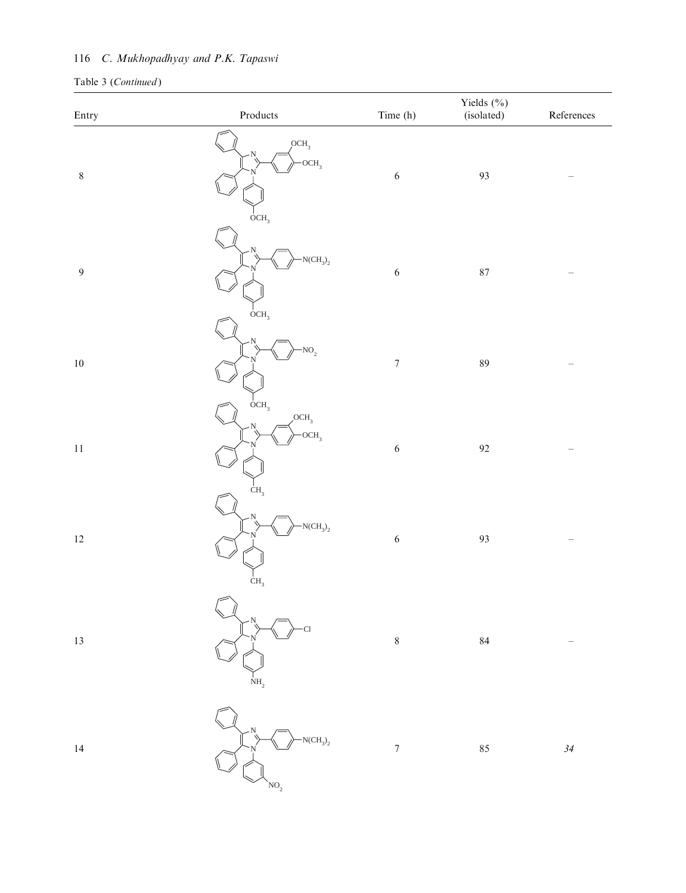# 116 C. Mukhopadhyay and P.K. Tapaswi

| Entry          | $\mathbf{Products}$                                      | Time (h)                 | Yields (%)<br>(isolated) | References |
|----------------|----------------------------------------------------------|--------------------------|--------------------------|------------|
| $\,8\,$        | OCH <sub>3</sub><br>$-OCH3$<br>OCH <sub>3</sub>          | $\sqrt{6}$               | 93                       |            |
| $\overline{9}$ | $NCH_3$ <sub>2</sub><br>$_{\text{OCH}_3}$                | $\sqrt{6}$               | $87\,$                   |            |
| $10\,$         | $NO_2$                                                   | $\boldsymbol{7}$         | $\rm 89$                 |            |
| $11\,$         | OCH <sub>3</sub><br>OCH <sub>3</sub><br>OCH <sub>3</sub> | $\sqrt{6}$               | $\mathbf{92}$            |            |
| $12\,$         | CH <sub>3</sub><br>$-N(CH_3)_2$<br>CH <sub>3</sub>       | $\sqrt{6}$               | 93                       |            |
| $13\,$         | C <sub>1</sub><br>$\mathrm{NH}_2$                        | $\,8\,$                  | $\bf 84$                 |            |
| $14\,$         | $-NCH3$ <sub>2</sub><br>NO <sub>2</sub>                  | $\overline{\mathcal{I}}$ | 85                       | $34\,$     |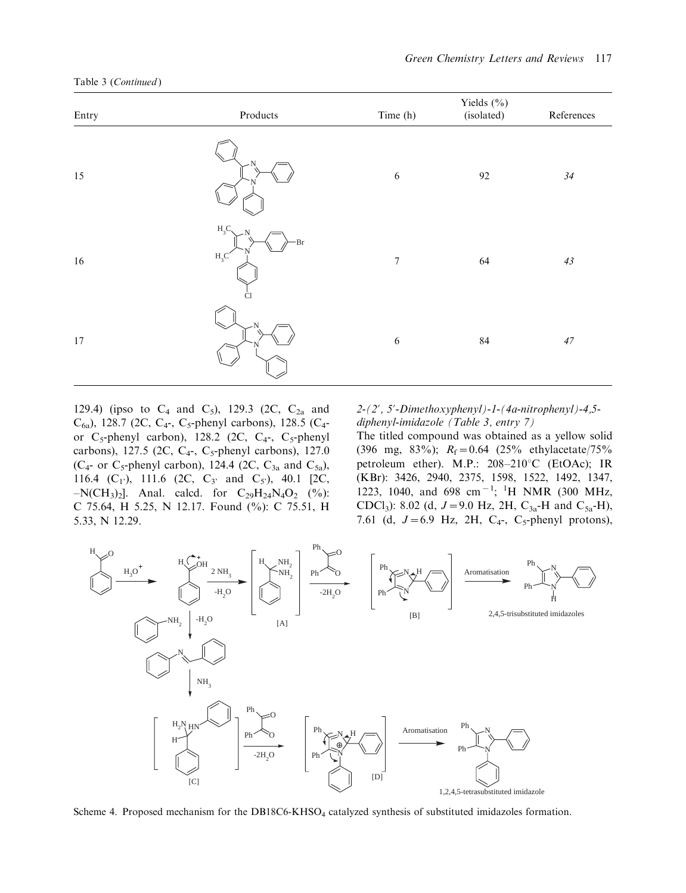| Entry  | $\bf Products$                           | Time (h)         | Yields (%)<br>(isolated) | References |
|--------|------------------------------------------|------------------|--------------------------|------------|
| 15     |                                          | $\sqrt{6}$       | 92                       | $34\,$     |
| 16     | $H_3C$<br>Br<br>$H_3C$<br>C <sub>1</sub> | $\boldsymbol{7}$ | 64                       | $43\,$     |
| $17\,$ |                                          | $\sqrt{6}$       | $\bf 84$                 | $47\,$     |

Table 3 (Continued)

129.4) (ipso to  $C_4$  and  $C_5$ ), 129.3 (2C,  $C_{2a}$  and  $C_{6a}$ ), 128.7 (2C, C<sub>4</sub>-, C<sub>5</sub>-phenyl carbons), 128.5 (C<sub>4</sub>or  $C_5$ -phenyl carbon), 128.2 (2C,  $C_4$ -,  $C_5$ -phenyl carbons), 127.5 (2C,  $C_4$ -,  $C_5$ -phenyl carbons), 127.0 ( $C_{4}$ - or  $C_{5}$ -phenyl carbon), 124.4 (2C,  $C_{3a}$  and  $C_{5a}$ ), 116.4 (C<sub>1</sub><sup>'</sup>), 111.6 (2C, C<sub>3</sub><sup>'</sup> and C<sub>5</sub><sup>'</sup>), 40.1 [2C,  $-N(CH_3)_2$ ]. Anal. calcd. for  $C_{29}H_{24}N_4O_2$  (%): C 75.64, H 5.25, N 12.17. Found (%): C 75.51, H 5.33, N 12.29.

 $2-(2', 5'-Dimension) - 1-(4a-nitrophenyl) - 4,5$ diphenyl-imidazole (Table 3, entry 7)

The titled compound was obtained as a yellow solid (396 mg, 83%);  $R_f = 0.64$  (25% ethylacetate/75% petroleum ether). M.P.:  $208-210^{\circ}$ C (EtOAc); IR (KBr): 3426, 2940, 2375, 1598, 1522, 1492, 1347, 1223, 1040, and 698 cm<sup>-1</sup>; <sup>1</sup>H NMR (300 MHz, CDCl<sub>3</sub>): 8.02 (d,  $J=9.0$  Hz, 2H, C<sub>3a</sub>-H and C<sub>5a</sub>-H), 7.61 (d,  $J=6.9$  Hz, 2H, C<sub>4</sub>-, C<sub>5</sub>-phenyl protons),



Scheme 4. Proposed mechanism for the DB18C6-KHSO<sub>4</sub> catalyzed synthesis of substituted imidazoles formation.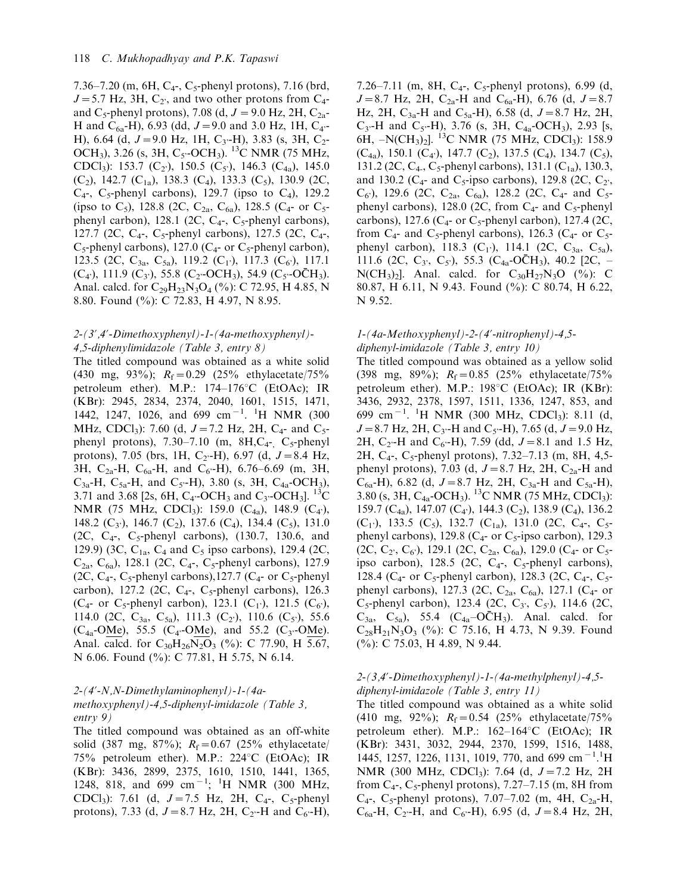7.36–7.20 (m, 6H, C<sub>4</sub>-, C<sub>5</sub>-phenyl protons), 7.16 (brd,  $J=5.7$  Hz, 3H,  $C_2$ , and two other protons from  $C_4$ and C<sub>5</sub>-phenyl protons), 7.08 (d,  $J = 9.0$  Hz, 2H, C<sub>2a</sub>-H and C<sub>6a</sub>-H), 6.93 (dd,  $J=9.0$  and 3.0 Hz, 1H, C<sub>4</sub>--H), 6.64 (d,  $J=9.0$  Hz, 1H, C<sub>3</sub> $-H$ ), 3.83 (s, 3H, C<sub>2</sub>-OCH<sub>3</sub>), 3.26 (s, 3H, C<sub>5</sub>-OCH<sub>3</sub>). <sup>13</sup>C NMR (75 MHz, CDCl<sub>3</sub>): 153.7 (C<sub>2'</sub>), 150.5 (C<sub>5'</sub>), 146.3 (C<sub>4a</sub>), 145.0  $(C_2)$ , 142.7  $(C_{1a})$ , 138.3  $(C_4)$ , 133.3  $(C_5)$ , 130.9 (2C,  $C_4$ -,  $C_5$ -phenyl carbons), 129.7 (ipso to  $C_4$ ), 129.2 (ipso to C<sub>5</sub>), 128.8 (2C, C<sub>2a</sub>, C<sub>6a</sub>), 128.5 (C<sub>4</sub>- or C<sub>5</sub>phenyl carbon), 128.1 (2C,  $C_4$ -,  $C_5$ -phenyl carbons), 127.7 (2C,  $C_4$ -,  $C_5$ -phenyl carbons), 127.5 (2C,  $C_4$ -,  $C_5$ -phenyl carbons), 127.0 ( $C_4$ - or  $C_5$ -phenyl carbon), 123.5 (2C, C<sub>3a</sub>, C<sub>5a</sub>), 119.2 (C<sub>1</sub><sup>)</sup>), 117.3 (C<sub>6</sub><sup>)</sup>), 117.1  $(C_4)$ , 111.9  $(C_3)$ , 55.8  $(C_2$ -OCH<sub>3</sub>), 54.9  $(C_5$ -OCH<sub>3</sub>). Anal. calcd. for  $C_{29}H_{23}N_3O_4$  (%): C 72.95, H 4.85, N 8.80. Found (%): C 72.83, H 4.97, N 8.95.

## 2-(3?,4?-Dimethoxyphenyl)-1-(4a-methoxyphenyl)- 4,5-diphenylimidazole (Table 3, entry 8)

The titled compound was obtained as a white solid (430 mg, 93%);  $R_f = 0.29$  (25% ethylacetate/75% petroleum ether). M.P.:  $174-176^{\circ}$ C (EtOAc); IR (KBr): 2945, 2834, 2374, 2040, 1601, 1515, 1471, 1442, 1247, 1026, and 699 cm<sup>-1</sup>. <sup>1</sup>H NMR (300 MHz, CDCl<sub>3</sub>): 7.60 (d,  $J=7.2$  Hz, 2H, C<sub>4</sub>- and C<sub>5</sub>phenyl protons),  $7.30-7.10$  (m,  $8H, C<sub>4</sub>$ ,  $C<sub>5</sub>$ -phenyl protons), 7.05 (brs, 1H, C<sub>2</sub>-H), 6.97 (d,  $J=8.4$  Hz, 3H,  $C_{2a}$ -H,  $C_{6a}$ -H, and  $C_{6}$ -H), 6.76–6.69 (m, 3H,  $C_{3a}$ -H,  $C_{5a}$ -H, and  $C_{5}$ -H), 3.80 (s, 3H,  $C_{4a}$ -OCH<sub>3</sub>), 3.71 and 3.68 [2s, 6H, C<sub>4</sub>-OCH<sub>3</sub> and C<sub>3</sub>-OCH<sub>3</sub>]. <sup>13</sup>C NMR (75 MHz, CDCl<sub>3</sub>): 159.0 (C<sub>4a</sub>), 148.9 (C<sub>4</sub><sup>,</sup>), 148.2 ( $C_3$ ), 146.7 ( $C_2$ ), 137.6 ( $C_4$ ), 134.4 ( $C_5$ ), 131.0 (2C,  $C_4$ -,  $C_5$ -phenyl carbons), (130.7, 130.6, and 129.9) (3C,  $C_{1a}$ ,  $C_4$  and  $C_5$  ipso carbons), 129.4 (2C,  $C_{2a}$ ,  $C_{6a}$ ), 128.1 (2C,  $C_4$ -,  $C_5$ -phenyl carbons), 127.9 (2C,  $C_4$ -,  $C_5$ -phenyl carbons), 127.7 ( $C_4$ - or  $C_5$ -phenyl carbon), 127.2 (2C,  $C_4$ -,  $C_5$ -phenyl carbons), 126.3 (C<sub>4</sub>- or C<sub>5</sub>-phenyl carbon), 123.1 (C<sub>1</sub><sup>-</sup>), 121.5 (C<sub>6</sub><sup>-</sup>), 114.0 (2C, C<sub>3a</sub>, C<sub>5a</sub>), 111.3 (C<sub>2</sub><sup>)</sup>), 110.6 (C<sub>5</sub><sup>)</sup>), 55.6  $(C_{4a}$ -OMe), 55.5  $(C_{4}$ -OMe), and 55.2  $(C_{3}$ -OMe). Anal. calcd. for  $C_{30}H_{26}N_2O_3$  (%): C 77.90, H 5.67, N 6.06. Found (%): C 77.81, H 5.75, N 6.14.

#### 2-(4?-N,N-Dimethylaminophenyl)-1-(4amethoxyphenyl)-4,5-diphenyl-imidazole (Table 3, entry 9)

The titled compound was obtained as an off-white solid (387 mg, 87%);  $R_f = 0.67$  (25% ethylacetate/ 75% petroleum ether). M.P.:  $224^{\circ}$ C (EtOAc); IR (KBr): 3436, 2899, 2375, 1610, 1510, 1441, 1365, 1248, 818, and 699 cm<sup>-1</sup>; <sup>1</sup>H NMR (300 MHz, CDCl<sub>3</sub>): 7.61 (d,  $J=7.5$  Hz, 2H, C<sub>4</sub>-, C<sub>5</sub>-phenyl protons), 7.33 (d,  $J=8.7$  Hz, 2H, C<sub>2</sub>-H and C<sub>6</sub>-H),

7.26–7.11 (m, 8H,  $C_4$ -,  $C_5$ -phenyl protons), 6.99 (d,  $J=8.7$  Hz, 2H, C<sub>2a</sub>-H and C<sub>6a</sub>-H), 6.76 (d,  $J=8.7$ Hz, 2H,  $C_{3a}$ -H and  $C_{5a}$ -H), 6.58 (d,  $J=8.7$  Hz, 2H,  $C_{3}$ -H and  $C_{5}$ -H), 3.76 (s, 3H,  $C_{4a}$ -OCH<sub>3</sub>), 2.93 [s, 6H,  $-N(CH_3)_2$ ]. <sup>13</sup>C NMR (75 MHz, CDCl<sub>3</sub>): 158.9  $(C_{4a})$ , 150.1  $(C_4)$ , 147.7  $(C_2)$ , 137.5  $(C_4)$ , 134.7  $(C_5)$ , 131.2 (2C, C<sub>4</sub>, C<sub>5</sub>-phenyl carbons), 131.1 (C<sub>1a</sub>), 130.3, and 130.2 ( $C_4$ - and  $C_5$ -ipso carbons), 129.8 (2C,  $C_2$ ),  $C_6$ , 129.6 (2C,  $C_{2a}$ ,  $C_{6a}$ ), 128.2 (2C,  $C_4$ - and  $C_5$ phenyl carbons), 128.0 (2C, from  $C_4$ - and  $C_5$ -phenyl carbons), 127.6 ( $C_4$ - or  $C_5$ -phenyl carbon), 127.4 (2C, from  $C_4$ - and  $C_5$ -phenyl carbons), 126.3 ( $C_4$ - or  $C_5$ phenyl carbon), 118.3 ( $C_1$ <sup>2</sup>), 114.1 (2C,  $C_{3a}$ ,  $C_{5a}$ ), 111.6 (2C, C<sub>3</sub>, C<sub>5</sub>), 55.3 (C<sub>4a</sub>-OC $H_3$ ), 40.2 [2C, -N(CH<sub>3</sub>)<sub>2</sub>]. Anal. calcd. for  $C_{30}H_{27}N_3O$  (%): C 80.87, H 6.11, N 9.43. Found (%): C 80.74, H 6.22, N 9.52.

## 1-(4a-Methoxyphenyl)-2-(4?-nitrophenyl)-4,5 diphenyl-imidazole (Table 3, entry 10)

The titled compound was obtained as a yellow solid (398 mg, 89%);  $R_f = 0.85$  (25% ethylacetate/75% petroleum ether). M.P.:  $198^{\circ}$ C (EtOAc); IR (KBr): 3436, 2932, 2378, 1597, 1511, 1336, 1247, 853, and 699 cm<sup>-1</sup>. <sup>1</sup>H NMR (300 MHz, CDCl<sub>3</sub>): 8.11 (d,  $J=8.7$  Hz, 2H, C<sub>3</sub>-H and C<sub>5</sub>-H), 7.65 (d,  $J=9.0$  Hz, 2H, C<sub>2</sub>-H and C<sub>6</sub>-H), 7.59 (dd,  $J=8.1$  and 1.5 Hz, 2H,  $C_4$ -,  $C_5$ -phenyl protons), 7.32–7.13 (m, 8H, 4,5phenyl protons), 7.03 (d,  $J=8.7$  Hz, 2H, C<sub>2a</sub>-H and  $C_{6a}$ -H), 6.82 (d, J = 8.7 Hz, 2H,  $C_{3a}$ -H and  $C_{5a}$ -H), 3.80 (s, 3H,  $C_{4a}$ -OCH<sub>3</sub>). <sup>13</sup>C NMR (75 MHz, CDCl<sub>3</sub>): 159.7 (C<sub>4a</sub>), 147.07 (C<sub>4</sub><sup>t</sup>), 144.3 (C<sub>2</sub>), 138.9 (C<sub>4</sub>), 136.2  $(C_1)$ , 133.5  $(C_5)$ , 132.7  $(C_{1a})$ , 131.0 (2C,  $C_4$ -,  $C_5$ phenyl carbons), 129.8 ( $C_4$ - or  $C_5$ -ipso carbon), 129.3 (2C, C<sub>2</sub>, C<sub>6</sub>), 129.1 (2C, C<sub>2a</sub>, C<sub>6a</sub>), 129.0 (C<sub>4</sub>- or C<sub>5</sub>ipso carbon), 128.5 (2C,  $C_4$ -,  $C_5$ -phenyl carbons), 128.4 ( $C_4$ - or  $C_5$ -phenyl carbon), 128.3 (2C,  $C_4$ -,  $C_5$ phenyl carbons), 127.3 (2C,  $C_{2a}$ ,  $C_{6a}$ ), 127.1 ( $C_{4}$ - or  $C_5$ -phenyl carbon), 123.4 (2C,  $C_3$ ,  $C_5$ ), 114.6 (2C,  $C_{3a}$ ,  $C_{5a}$ ), 55.4 ( $C_{4a}$ -OCH<sub>3</sub>). Anal. calcd. for  $C_{28}H_{21}N_3O_3$  (%): C 75.16, H 4.73, N 9.39. Found (%): C 75.03, H 4.89, N 9.44.

# 2-(3,4?-Dimethoxyphenyl)-1-(4a-methylphenyl)-4,5 diphenyl-imidazole (Table 3, entry 11)

The titled compound was obtained as a white solid (410 mg, 92%);  $R_f = 0.54$  (25% ethylacetate/75% petroleum ether). M.P.:  $162-164^{\circ}$ C (EtOAc); IR (KBr): 3431, 3032, 2944, 2370, 1599, 1516, 1488, 1445, 1257, 1226, 1131, 1019, 770, and 699 cm<sup>-1</sup>.<sup>1</sup>H NMR (300 MHz, CDCl<sub>3</sub>): 7.64 (d,  $J=7.2$  Hz, 2H from  $C_4$ -,  $C_5$ -phenyl protons), 7.27–7.15 (m, 8H from  $C_4$ -,  $C_5$ -phenyl protons), 7.07–7.02 (m, 4H,  $C_{2a}$ -H,  $C_{6a}$ -H, C<sub>2</sub>.-H, and C<sub>6</sub>.-H), 6.95 (d, J = 8.4 Hz, 2H,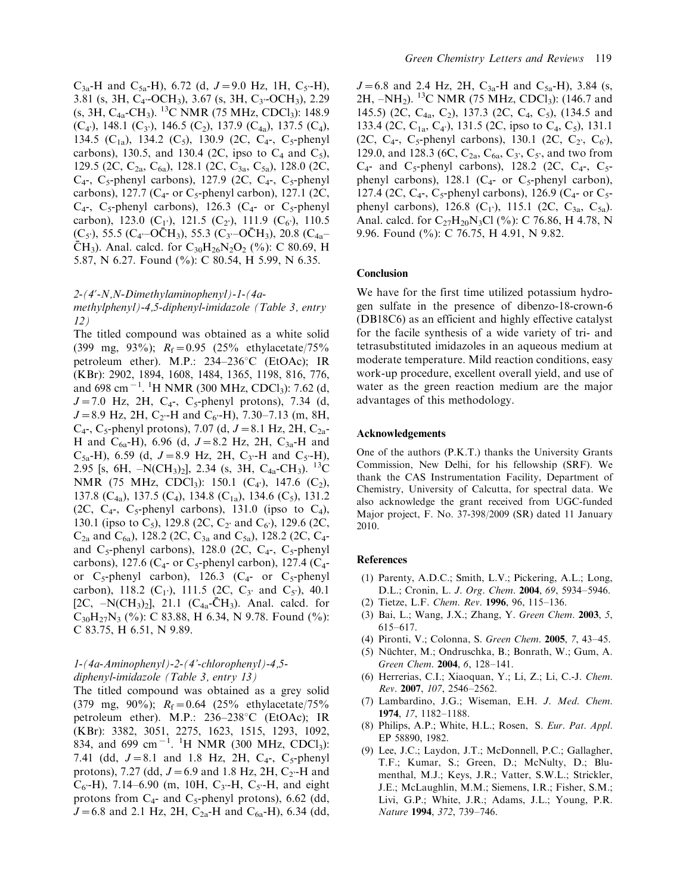$C_{3a}$ -H and  $C_{5a}$ -H), 6.72 (d,  $J=9.0$  Hz, 1H,  $C_{5}$ -H), 3.81 (s, 3H, C<sub>4</sub>-OCH<sub>3</sub>), 3.67 (s, 3H, C<sub>3</sub>-OCH<sub>3</sub>), 2.29 (s, 3H, C4a-CH3). 13C NMR (75 MHz, CDCl3): 148.9  $(C_4)$ , 148.1  $(C_3)$ , 146.5  $(C_2)$ , 137.9  $(C_{4a})$ , 137.5  $(C_4)$ , 134.5 (C<sub>1a</sub>), 134.2 (C<sub>5</sub>), 130.9 (2C, C<sub>4</sub>-, C<sub>5</sub>-phenyl carbons), 130.5, and 130.4 (2C, ipso to  $C_4$  and  $C_5$ ), 129.5 (2C, C<sub>2a</sub>, C<sub>6a</sub>), 128.1 (2C, C<sub>3a</sub>, C<sub>5a</sub>), 128.0 (2C,  $C_4$ -,  $C_5$ -phenyl carbons), 127.9 (2C,  $C_4$ -,  $C_5$ -phenyl carbons), 127.7 ( $C_4$ - or  $C_5$ -phenyl carbon), 127.1 (2C,  $C_4$ -,  $C_5$ -phenyl carbons), 126.3 ( $C_4$ - or  $C_5$ -phenyl carbon), 123.0 (C<sub>1</sub><sup>'</sup>), 121.5 (C<sub>2</sub><sup>'</sup>), 111.9 (C<sub>6</sub><sup>'</sup>), 110.5  $(C_5)$ , 55.5  $(C_4$ -OC $H_3$ ), 55.3  $(C_3$ -OC $H_3$ ), 20.8  $(C_{4a}$ - $\bar{C}H_3$ ). Anal. calcd. for  $C_{30}H_{26}N_2O_2$  (%): C 80.69, H 5.87, N 6.27. Found (%): C 80.54, H 5.99, N 6.35.

#### 2-(4?-N,N-Dimethylaminophenyl)-1-(4a-

methylphenyl)-4,5-diphenyl-imidazole (Table 3, entry 12)

The titled compound was obtained as a white solid (399 mg, 93%);  $R_f = 0.95$  (25% ethylacetate/75%) petroleum ether). M.P.:  $234-236^{\circ}$ C (EtOAc); IR (KBr): 2902, 1894, 1608, 1484, 1365, 1198, 816, 776, and 698 cm<sup>-1</sup>. <sup>1</sup>H NMR (300 MHz, CDCl<sub>3</sub>): 7.62 (d,  $J=7.0$  Hz, 2H, C<sub>4</sub>-, C<sub>5</sub>-phenyl protons), 7.34 (d,  $J=8.9$  Hz, 2H, C<sub>2</sub>-H and C<sub>6</sub>-H), 7.30–7.13 (m, 8H,  $C_4$ -,  $C_5$ -phenyl protons), 7.07 (d,  $J = 8.1$  Hz, 2H,  $C_{2a}$ -H and C<sub>6a</sub>-H), 6.96 (d,  $J=8.2$  Hz, 2H, C<sub>3a</sub>-H and  $C_{5a}$ -H), 6.59 (d,  $J=8.9$  Hz, 2H, C<sub>3</sub>-H and C<sub>5</sub>-H), 2.95 [s, 6H,  $-N(CH_3)_2$ ], 2.34 (s, 3H, C<sub>4a</sub>-CH<sub>3</sub>). <sup>13</sup>C NMR (75 MHz, CDCl<sub>3</sub>): 150.1 (C<sub>4</sub><sup>2</sup>), 147.6 (C<sub>2</sub>), 137.8 (C<sub>4a</sub>), 137.5 (C<sub>4</sub>), 134.8 (C<sub>1a</sub>), 134.6 (C<sub>5</sub>), 131.2 (2C,  $C_4$ -,  $C_5$ -phenyl carbons), 131.0 (ipso to  $C_4$ ), 130.1 (ipso to C<sub>5</sub>), 129.8 (2C, C<sub>2</sub><sup>,</sup> and C<sub>6</sub><sup></sup>), 129.6 (2C,  $C_{2a}$  and  $C_{6a}$ ), 128.2 (2C,  $C_{3a}$  and  $C_{5a}$ ), 128.2 (2C,  $C_{4}$ and  $C_5$ -phenyl carbons), 128.0 (2C,  $C_4$ -,  $C_5$ -phenyl carbons), 127.6 ( $C_4$ - or  $C_5$ -phenyl carbon), 127.4 ( $C_4$ or  $C_5$ -phenyl carbon), 126.3 ( $C_4$ - or  $C_5$ -phenyl carbon), 118.2 ( $C_1$ ), 111.5 (2C,  $C_3$ <sup>,</sup> and  $C_5$ <sup>'</sup>), 40.1 [2C,  $-N(CH_3)_2$ ], 21.1 (C<sub>4a</sub>-CH<sub>3</sub>). Anal. calcd. for  $C_{30}H_{27}N_3$  (%): C 83.88, H 6.34, N 9.78. Found (%): C 83.75, H 6.51, N 9.89.

#### 1-(4a-Aminophenyl)-2-(4'-chlorophenyl)-4,5 diphenyl-imidazole (Table 3, entry 13)

The titled compound was obtained as a grey solid (379 mg, 90%);  $R_f = 0.64$  (25% ethylacetate/75%) petroleum ether). M.P.:  $236-238$ °C (EtOAc); IR (KBr): 3382, 3051, 2275, 1623, 1515, 1293, 1092, 834, and 699 cm<sup>-1</sup>. <sup>1</sup>H NMR (300 MHz, CDCl<sub>3</sub>): 7.41 (dd,  $J=8.1$  and 1.8 Hz, 2H, C<sub>4</sub>-, C<sub>5</sub>-phenyl protons), 7.27 (dd,  $J=6.9$  and 1.8 Hz, 2H, C<sub>2</sub>-H and  $C_6$ -H), 7.14–6.90 (m, 10H,  $C_3$ -H,  $C_5$ -H, and eight protons from  $C_4$ - and  $C_5$ -phenyl protons), 6.62 (dd,  $J=6.8$  and 2.1 Hz, 2H, C<sub>2a</sub>-H and C<sub>6a</sub>-H), 6.34 (dd,

 $J=6.8$  and 2.4 Hz, 2H, C<sub>3a</sub>-H and C<sub>5a</sub>-H), 3.84 (s, 2H,  $-NH_2$ ). <sup>13</sup>C NMR (75 MHz, CDCl<sub>3</sub>): (146.7 and 145.5) (2C, C<sub>4a</sub>, C<sub>2</sub>), 137.3 (2C, C<sub>4</sub>, C<sub>5</sub>), (134.5 and 133.4 (2C, C<sub>1a</sub>, C<sub>4</sub>), 131.5 (2C, ipso to C<sub>4</sub>, C<sub>5</sub>), 131.1 (2C, C<sub>4</sub>-, C<sub>5</sub>-phenyl carbons), 130.1 (2C, C<sub>2</sub><sup>'</sup>, C<sub>6</sub><sup>'</sup>), 129.0, and 128.3 (6C,  $C_{2a}$ ,  $C_{6a}$ ,  $C_3$ ,  $C_5$ , and two from  $C_4$ - and  $C_5$ -phenyl carbons), 128.2 (2C,  $C_4$ -,  $C_5$ phenyl carbons), 128.1 ( $C_4$ - or  $C_5$ -phenyl carbon), 127.4 (2C,  $C_4$ -,  $C_5$ -phenyl carbons), 126.9 ( $C_4$ - or  $C_5$ phenyl carbons), 126.8  $(C_1)$ , 115.1 (2C,  $C_{3a}$ ,  $C_{5a}$ ). Anal. calcd. for  $C_{27}H_{20}N_3Cl$  (%): C 76.86, H 4.78, N 9.96. Found (%): C 76.75, H 4.91, N 9.82.

#### **Conclusion**

We have for the first time utilized potassium hydrogen sulfate in the presence of dibenzo-18-crown-6 (DB18C6) as an efficient and highly effective catalyst for the facile synthesis of a wide variety of tri- and tetrasubstituted imidazoles in an aqueous medium at moderate temperature. Mild reaction conditions, easy work-up procedure, excellent overall yield, and use of water as the green reaction medium are the major advantages of this methodology.

#### Acknowledgements

One of the authors (P.K.T.) thanks the University Grants Commission, New Delhi, for his fellowship (SRF). We thank the CAS Instrumentation Facility, Department of Chemistry, University of Calcutta, for spectral data. We also acknowledge the grant received from UGC-funded Major project, F. No. 37-398/2009 (SR) dated 11 January 2010.

#### References

- (1) Parenty, A.D.C.; Smith, L.V.; Pickering, A.L.; Long, D.L.; Cronin, L. J. Org. Chem. 2004, 69, 5934-5946.
- (2) Tietze, L.F. Chem. Rev. 1996, 96, 115-136.
- (3) Bai, L.; Wang, J.X.; Zhang, Y. Green Chem. 2003, 5, 615-617.
- (4) Pironti, V.; Colonna, S. Green Chem. 2005, 7, 43-45.
- (5) Nüchter, M.; Ondruschka, B.; Bonrath, W.; Gum, A. Green Chem. 2004, 6, 128-141.
- (6) Herrerias, C.I.; Xiaoquan, Y.; Li, Z.; Li, C.-J. Chem. Rev. 2007, 107, 2546-2562.
- (7) Lambardino, J.G.; Wiseman, E.H. J. Med. Chem. 1974, 17, 1182-1188.
- (8) Philips, A.P.; White, H.L.; Rosen, S. Eur. Pat. Appl. EP 58890, 1982.
- (9) Lee, J.C.; Laydon, J.T.; McDonnell, P.C.; Gallagher, T.F.; Kumar, S.; Green, D.; McNulty, D.; Blumenthal, M.J.; Keys, J.R.; Vatter, S.W.L.; Strickler, J.E.; McLaughlin, M.M.; Siemens, I.R.; Fisher, S.M.; Livi, G.P.; White, J.R.; Adams, J.L.; Young, P.R. Nature 1994, 372, 739-746.